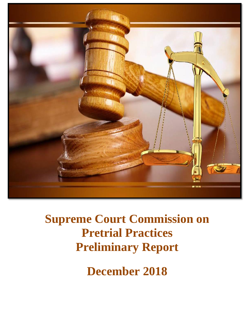

## **Supreme Court Commission on Pretrial Practices Preliminary Report**

**December 2018**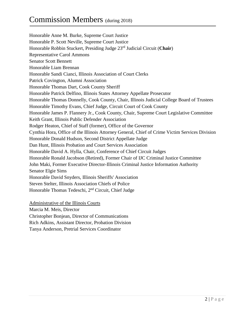Honorable Anne M. Burke, Supreme Court Justice Honorable P. Scott Neville, Supreme Court Justice Honorable Robbin Stuckert, Presiding Judge 23rd Judicial Circuit (**Chair**) Representative Carol Ammons Senator Scott Bennett Honorable Liam Brennan Honorable Sandi Cianci, Illinois Association of Court Clerks Patrick Covington, Alumni Association Honorable Thomas Dart, Cook County Sheriff Honorable Patrick Delfino, Illinois States Attorney Appellate Prosecutor Honorable Thomas Donnelly, Cook County, Chair, Illinois Judicial College Board of Trustees Honorable Timothy Evans, Chief Judge, Circuit Court of Cook County Honorable James P. Flannery Jr., Cook County, Chair, Supreme Court Legislative Committee Keith Grant, Illinois Public Defender Association Rodger Heaton, Chief of Staff (former), Office of the Governor Cynthia Hora, Office of the Illinois Attorney General, Chief of Crime Victim Services Division Honorable Donald Hudson, Second District Appellate Judge Dan Hunt, Illinois Probation and Court Services Association Honorable David A. Hylla, Chair, Conference of Chief Circuit Judges Honorable Ronald Jacobson (Retired), Former Chair of IJC Criminal Justice Committee John Maki, Former Executive Director-Illinois Criminal Justice Information Authority Senator Elgie Sims Honorable David Snyders, Illinois Sheriffs' Association Steven Stelter, Illinois Association Chiefs of Police Honorable Thomas Tedeschi, 2<sup>nd</sup> Circuit, Chief Judge

Administrative of the Illinois Courts

Marcia M. Meis, Director

Christopher Bonjean, Director of Communications

Rich Adkins, Assistant Director, Probation Division

Tanya Anderson, Pretrial Services Coordinator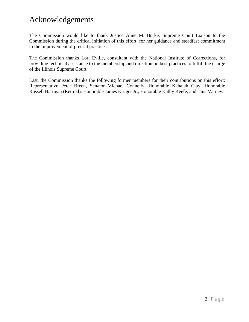## Acknowledgements

The Commission would like to thank Justice Anne M. Burke, Supreme Court Liaison to the Commission during the critical initiation of this effort, for her guidance and steadfast commitment to the improvement of pretrial practices.

The Commission thanks Lori Eville, consultant with the National Institute of Corrections, for providing technical assistance to the membership and direction on best practices to fulfill the charge of the Illinois Supreme Court.

Last, the Commission thanks the following former members for their contributions on this effort: Representative Peter Breen, Senator Michael Connelly, Honorable Kahalah Clay, Honorable Russell Hartigan (Retired), Honorable James Kruger Jr., Honorable Kathy Keefe, and Tina Varney.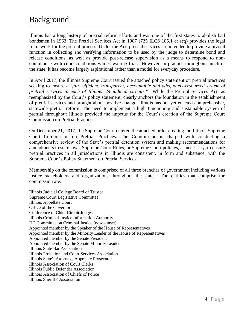Illinois has a long history of pretrial reform efforts and was one of the first states to abolish bail bondsmen in 1963. The Pretrial Services Act in 1987 (725 ILCS 185.1 *et seq*) provides the legal framework for the pretrial process. Under the Act, pretrial services are intended to provide a pivotal function in collecting and verifying information to be used by the judge to determine bond and release conditions, as well as provide post-release supervision as a means to respond to noncompliance with court conditions while awaiting trial. However, in practice throughout much of the state, it has become largely aspirational rather than a model for everyday procedure.

In April 2017, the Illinois Supreme Court issued the attached policy statement on pretrial practices seeking to ensure a "*fair, efficient, transparent, accountable and adequately-resourced system of pretrial services in each of Illinois' 24 judicial circuits."* While the Pretrial Services Act, as reemphasized by the Court's policy statement, clearly anchors the foundation in the establishment of pretrial services and brought about positive change, Illinois has not yet enacted comprehensive, statewide pretrial reform. The need to implement a high functioning and sustainable system of pretrial throughout Illinois provided the impetus for the Court's creation of the Supreme Court Commission on Pretrial Practices.

On December 21, 2017, the Supreme Court entered the attached order creating the Illinois Supreme Court Commission on Pretrial Practices. The Commission is charged with conducting a comprehensive review of the State's pretrial detention system and making recommendations for amendments to state laws, Supreme Court Rules, or Supreme Court policies, as necessary, to ensure pretrial practices in all jurisdictions in Illinois are consistent, in form and substance, with the Supreme Court's Policy Statement on Pretrial Services.

Membership on the commission is comprised of all three branches of government including various justice stakeholders and organizations throughout the state. The entities that comprise the commission are:

Illinois Judicial College Board of Trustee Supreme Court Legislative Committee Illinois Appellate Court Office of the Governor Conference of Chief Circuit Judges Illinois Criminal Justice Information Authority IJC Committee on Criminal Justice (now sunset) Appointed member by the Speaker of the House of Representatives Appointed member by the Minority Leader of the House of Representatives Appointed member by the Senate President Appointed member by the Senate Minority Leader Illinois State Bar Association Illinois Probation and Court Services Association Illinois State's Attorneys Appellate Prosecutor Illinois Association of Court Clerks Illinois Public Defender Association Illinois Association of Chiefs of Police Illinois Sheriffs' Association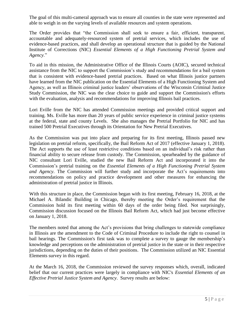The goal of this multi-cameral approach was to ensure all counties in the state were represented and able to weigh in on the varying levels of available resources and system operations.

The Order provides that "the Commission shall seek to ensure a fair, efficient, transparent, accountable and adequately-resourced system of pretrial services, which includes the use of evidence-based practices, and shall develop an operational structure that is guided by the National Institute of Corrections (NIC) *Essential Elements of a High Functioning Pretrial System and Agency*."

To aid in this mission, the Administrative Office of the Illinois Courts (AOIC), secured technical assistance from the NIC to support the Commission's study and recommendations for a bail system that is consistent with evidence-based pretrial practices. Based on what Illinois justice partners have learned from the NIC publication on the Essential Elements of a High Functioning System and Agency, as well as Illinois criminal justice leaders' observations of the Wisconsin Criminal Justice Study Commission, the NIC was the clear choice to guide and support the Commission's efforts with the evaluation, analysis and recommendations for improving Illinois bail practices.

Lori Eville from the NIC has attended Commission meetings and provided critical support and training. Ms. Eville has more than 20 years of public service experience in criminal justice systems at the federal, state and county Levels. She also manages the Pretrial Portfolio for NIC and has trained 500 Pretrial Executives through its Orientation for New Pretrial Executives.

As the Commission was put into place and preparing for its first meeting, Illinois passed new legislation on pretrial reform, specifically, the Bail Reform Act of 2017 (effective January 1, 2018). The Act supports the use of least restrictive conditions based on an individual's risk rather than financial ability to secure release from custody. The Commission, spearheaded by the guidance of NIC consultant Lori Eville, studied the new Bail Reform Act and incorporated it into the Commission's pretrial training on the *Essential Elements of a High Functioning Pretrial System and Agency*. The Commission will further study and incorporate the Act's requirements into recommendations on policy and practice development and other measures for enhancing the administration of pretrial justice in Illinois.

With this structure in place, the Commission began with its first meeting, February 16, 2018, at the Michael A. Bilandic Building in Chicago, thereby meeting the Order's requirement that the Commission hold its first meeting within 60 days of the order being filed. Not surprisingly, Commission discussion focused on the Illinois Bail Reform Act, which had just become effective on January 1, 2018.

The members noted that among the Act's provisions that bring challenges to statewide compliance in Illinois are the amendment to the Code of Criminal Procedure to include the right to counsel in bail hearings. The Commission's first task was to complete a survey to gauge the membership's knowledge and perceptions on the administration of pretrial justice in the state or in their respective jurisdictions, depending on the duties of their positions. The Commission utilized an NIC Essential Elements survey in this regard.

At the March 16, 2018, the Commission reviewed the survey responses which, overall, indicated belief that our current practices were largely in compliance with NIC's *Essential Elements of an Effective Pretrial Justice System and Agency*. Survey results are below: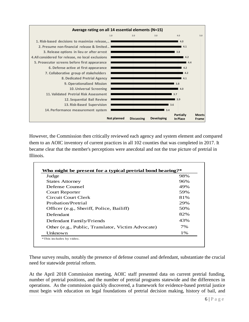

However, the Commission then critically reviewed each agency and system element and compared them to an AOIC inventory of current practices in all 102 counties that was completed in 2017. It became clear that the member's perceptions were anecdotal and not the true picture of pretrial in Illinois.

| Judge                                             | 98% |
|---------------------------------------------------|-----|
| <b>States Attorney</b>                            | 96% |
| Defense Counsel                                   | 49% |
| Court Reporter                                    | 59% |
| Circuit Court Clerk                               | 81% |
| Probation/Pretrial                                | 29% |
| Officer (e.g., Sheriff, Police, Bailiff)          | 50% |
| Defendant                                         | 82% |
| Defendant Family/Friends                          | 43% |
| Other (e.g., Public, Translator, Victim Advocate) | 7%  |
| Unknown                                           | 1%  |

These survey results, notably the presence of defense counsel and defendant, substantiate the crucial need for statewide pretrial reform.

At the April 2018 Commission meeting, AOIC staff presented data on current pretrial funding, number of pretrial positions, and the number of pretrial programs statewide and the differences in operations. As the commission quickly discovered, a framework for evidence-based pretrial justice must begin with education on legal foundations of pretrial decision making, history of bail, and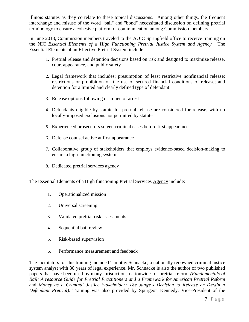Illinois statutes as they correlate to these topical discussions. Among other things, the frequent interchange and misuse of the word "bail" and "bond" necessitated discussion on defining pretrial terminology to ensure a cohesive platform of communication among Commission members.

In June 2018, Commission members traveled to the AOIC Springfield office to receive training on the NIC *Essential Elements of a High Functioning Pretrial Justice System and Agency.* The Essential Elements of an Effective Pretrial System include:

- 1. Pretrial release and detention decisions based on risk and designed to maximize release, court appearance, and public safety
- 2. Legal framework that includes: presumption of least restrictive nonfinancial release; restrictions or prohibition on the use of secured financial conditions of release; and detention for a limited and clearly defined type of defendant
- 3. Release options following or in lieu of arrest
- 4. Defendants eligible by statute for pretrial release are considered for release, with no locally-imposed exclusions not permitted by statute
- 5. Experienced prosecutors screen criminal cases before first appearance
- 6. Defense counsel active at first appearance
- 7. Collaborative group of stakeholders that employs evidence-based decision-making to ensure a high functioning system
- 8. Dedicated pretrial services agency

The Essential Elements of a High functioning Pretrial Services Agency include:

- 1. Operationalized mission
- 2. Universal screening
- 3. Validated pretrial risk assessments
- 4. Sequential bail review
- 5. Risk-based supervision
- 6. Performance measurement and feedback

The facilitators for this training included Timothy Schnacke, a nationally renowned criminal justice system analyst with 30 years of legal experience. Mr. Schnacke is also the author of two published papers that have been used by many jurisdictions nationwide for pretrial reform *(Fundamentals of Bail: A resource Guide for Pretrial Practitioners and a Framework for American Pretrial Reform* and *Money as a Criminal Justice Stakeholder: The Judge's Decision to Release or Detain a Defendant Pretrial).* Training was also provided by Spurgeon Kennedy, Vice-President of the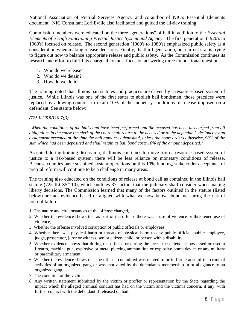National Association of Pretrial Services Agency and co-author of NIC's Essential Elements document. NIC Consultant Lori Eville also facilitated and guided the all-day training.

Commission members were educated on the three "generations" of bail in addition to the *Essential Elements of a High Functioning Pretrial Justice System and Agency*. The first generation (1920's to 1960's) focused on release. The second generation (1960's to 1980's) emphasized public safety as a consideration when making release decisions. Finally, the third generation, our current era, is trying to figure out how to balance appropriate release and public safety. As the Commission continues its research and effort to fulfill its charge, they must focus on answering three foundational questions:

- 1. Who do we release?
- 2. Who do we detain?
- 3. How do we do it?

The training noted that Illinois bail statutes and practices are driven by a resource-based system of justice. While Illinois was one of the first states to abolish bail bondsmen, those practices were replaced by allowing counties to retain 10% of the monetary conditions of release imposed on a defendant. See statute below:

## *(725 ILCS 5/110-7(f))*

*"When the conditions of the bail bond have been performed and the accused has been discharged from all obligations in the cause the clerk of the court shall return to the accused or to the defendant's designee by an assignment executed at the time the bail amount is deposited, unless the court orders otherwise, 90% of the sum which had been deposited and shall retain as bail bond costs 10% of the amount deposited."*

As noted during training discussion, if Illinois continues to move from a resource-based system of justice to a risk-based system, there will be less reliance on monetary conditions of release. Because counties have sustained system operations on this 10% funding, stakeholder acceptance of pretrial reform will continue to be a challenge in many areas.

The training also educated on the conditions of release at bond call as contained in the Illinois bail statute (725 ILCS5/110), which outlines 37 factors that the judiciary shall consider when making liberty decisions. The Commission learned that many of the factors outlined in the statute (listed below) are not evidence-based or aligned with what we now know about measuring the risk of pretrial failure:

- 1. The nature and circumstances of the offense charged,
- 2. Whether the evidence shows that as part of the offense there was a use of violence or threatened use of violence,
- 3. Whether the offense involved corruption of public officials or employees,
- 4. Whether there was physical harm or threats of physical harm to any public official, public employee, judge, prosecutor, juror or witness, senior citizen, child, or person with a disability,
- 5. Whether evidence shows that during the offense or during the arrest the defendant possessed or used a firearm, machine gun, explosive or metal piercing ammunition or explosive bomb device or any military or paramilitary armament,
- 6. Whether the evidence shows that the offense committed was related to or in furtherance of the criminal activities of an organized gang or was motivated by the defendant's membership in or allegiance to an organized gang,
- 7. The condition of the victim,
- 8. Any written statement submitted by the victim or proffer or representation by the State regarding the impact which the alleged criminal conduct has had on the victim and the victim's concern, if any, with further contact with the defendant if released on bail,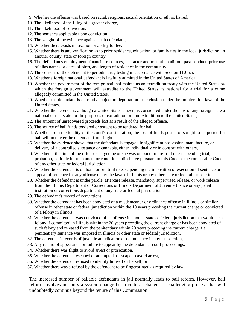- 9. Whether the offense was based on racial, religious, sexual orientation or ethnic hatred,
- 10. The likelihood of the filing of a greater charge,
- 11. The likelihood of conviction,
- 12. The sentence applicable upon conviction,
- 13. The weight of the evidence against such defendant,
- 14. Whether there exists motivation or ability to flee,
- 15. Whether there is any verification as to prior residence, education, or family ties in the local jurisdiction, in another county, state or foreign country,
- 16. The defendant's employment, financial resources, character and mental condition, past conduct, prior use of alias names or dates of birth, and length of residence in the community,
- 17. The consent of the defendant to periodic drug testing in accordance with Section 110-6.5,
- 18. Whether a foreign national defendant is lawfully admitted in the United States of America,
- 19. Whether the government of the foreign national maintains an extradition treaty with the United States by which the foreign government will extradite to the United States its national for a trial for a crime allegedly committed in the United States,
- 20. Whether the defendant is currently subject to deportation or exclusion under the immigration laws of the United States,
- 21. Whether the defendant, although a United States citizen, is considered under the law of any foreign state a national of that state for the purposes of extradition or non-extradition to the United States,
- 22. The amount of unrecovered proceeds lost as a result of the alleged offense,
- 23. The source of bail funds tendered or sought to be tendered for bail,
- 24. Whether from the totality of the court's consideration, the loss of funds posted or sought to be posted for bail will not deter the defendant from flight,
- 25. Whether the evidence shows that the defendant is engaged in significant possession, manufacture, or delivery of a controlled substance or cannabis, either individually or in consort with others,
- 26. Whether at the time of the offense charged he or she was on bond or pre-trial release pending trial, probation, periodic imprisonment or conditional discharge pursuant to this Code or the comparable Code of any other state or federal jurisdiction,
- 27. Whether the defendant is on bond or pre-trial release pending the imposition or execution of sentence or appeal of sentence for any offense under the laws of Illinois or any other state or federal jurisdiction,
- 28. Whether the defendant is under parole, aftercare release, mandatory supervised release, or work release from the Illinois Department of Corrections or Illinois Department of Juvenile Justice or any penal institution or corrections department of any state or federal jurisdiction,
- 29. The defendant's record of convictions,
- 30. Whether the defendant has been convicted of a misdemeanor or ordinance offense in Illinois or similar offense in other state or federal jurisdiction within the 10 years preceding the current charge or convicted of a felony in Illinois,
- 31. Whether the defendant was convicted of an offense in another state or federal jurisdiction that would be a felony if committed in Illinois within the 20 years preceding the current charge or has been convicted of such felony and released from the penitentiary within 20 years preceding the current charge if a penitentiary sentence was imposed in Illinois or other state or federal jurisdiction,
- 32. The defendant's records of juvenile adjudication of delinquency in any jurisdiction,
- 33. Any record of appearance or failure to appear by the defendant at court proceedings,
- 34. Whether there was flight to avoid arrest or prosecution,
- 35. Whether the defendant escaped or attempted to escape to avoid arrest,
- 36. Whether the defendant refused to identify himself or herself, or
- 37. Whether there was a refusal by the defendant to be fingerprinted as required by law

The increased number of bailable defendants in jail normally leads to bail reform. However, bail reform involves not only a system change but a cultural change - a challenging process that will undoubtedly continue beyond the tenure of this Commission.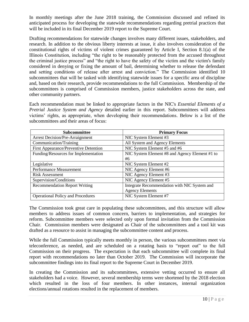In monthly meetings after the June 2018 training, the Commission discussed and refined its anticipated process for developing the statewide recommendations regarding pretrial practices that will be included in its final December 2019 report to the Supreme Court.

Drafting recommendations for statewide changes involves many different issues, stakeholders, and research. In addition to the obvious liberty interests at issue, it also involves consideration of the constitutional rights of victims of violent crimes guaranteed by Article I, Section 8.1(a) of the Illinois Constitution, including "the right to be reasonably protected from the accused throughout the criminal justice process" and "the right to have the safety of the victim and the victim's family considered in denying or fixing the amount of bail, determining whether to release the defendant and setting conditions of release after arrest and conviction." The Commission identified 10 subcommittees that will be tasked with identifying statewide issues for a specific area of discipline and, based on their research, provide recommendations to the full Commission. Membership of the subcommittees is comprised of Commission members, justice stakeholders across the state, and other community partners.

Each recommendation must be linked to appropriate factors in the NIC's *Essential Elements of a Pretrial Justice System and Agency* detailed earlier in this report. Subcommittees will address victims' rights, as appropriate, when developing their recommendations. Below is a list of the subcommittees and their areas of focus:

| Subcommittee                                 | <b>Primary Focus</b>                           |
|----------------------------------------------|------------------------------------------------|
| <b>Arrest Decision/Pre-Arraignment</b>       | NIC System Element #3                          |
| Communication/Training                       | All System and Agency Elements                 |
| <b>First Appearance/Preventive Detention</b> | NIC System Element #5 and #6                   |
| Funding/Resources for Implementation         | NIC System Element #8 and Agency Element #1 to |
|                                              | #6                                             |
| Legislative                                  | NIC System Element #2                          |
| Performance Measurement                      | NIC Agency Element #6                          |
| <b>Risk Assessment</b>                       | NIC Agency Element #3                          |
| Supervision/Conditions                       | NIC Agency Element #5                          |
| <b>Recommendation Report Writing</b>         | Integrate Recommendation with NIC System and   |
|                                              | <b>Agency Elements</b>                         |
| <b>Operational Policy and Procedures</b>     | NIC System Element #7                          |

The Commission took great care in populating these subcommittees, and this structure will allow members to address issues of common concern, barriers to implementation, and strategies for reform. Subcommittee members were selected only upon formal invitation from the Commission Chair. Commission members were designated as Chair of the subcommittees and a tool kit was drafted as a resource to assist in managing the subcommittee content and process.

While the full Commission typically meets monthly in person, the various subcommittees meet via teleconference, as needed, and are scheduled on a rotating basis to "report out" to the full Commission on their progress. The expectation is that each subcommittee will complete its final report with recommendations no later than October 2019. The Commission will incorporate the subcommittee findings into its final report to the Supreme Court in December 2019.

In creating the Commission and its subcommittees, extensive vetting occurred to ensure all stakeholders had a voice. However, several membership terms were shortened by the 2018 election which resulted in the loss of four members. In other instances, internal organization elections/annual rotations resulted in the replacement of members.